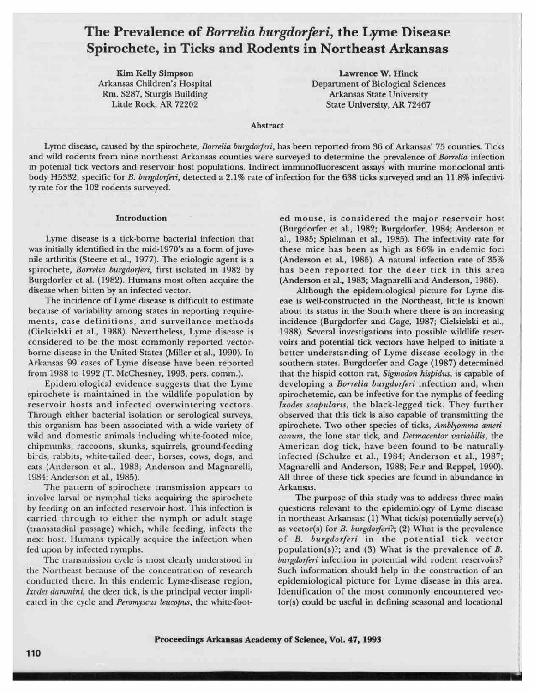# The Prevalence of Borrelia burgdorferi, the Lyme Disease Spirochete, in Ticks and Rodents in Northeast Arkansas

**Kim Kelly Simpson** Arkansas Children's Hospital Rm. S287, Sturgis Building Little Rock, AR 72202

Lawrence W. Hinck Department of Biological Sciences Arkansas State University State University, AR 72467

## Abstract

Lyme disease, caused by the spirochete, Borrelia burgdorferi, has been reported from 36 of Arkansas' 75 counties. Ticks and wild rodents from nine northeast Arkansas counties were surveyed to determine the prevalence of Borrelia infection in potenial tick vectors and reservoir host populations. Indirect immunofluorescent assays with murine monoclonal antibody H5332, specific for B. burgdorferi, detected a 2.1% rate of infection for the 638 ticks surveyed and an 11.8% infectivity rate for the 102 rodents surveyed.

## Introduction

Lyme disease is a tick-borne bacterial infection that was initially identified in the mid-1970's as a form of juvenile arthritis (Steere et al., 1977). The etiologic agent is a spirochete, Borrelia burgdorferi, first isolated in 1982 by Surgdorfer et al. (1982). Humans most often acquire the disease when bitten by an infected vector.

The incidence of Lyme disease is difficult to estimate because of variability among states in reporting requirements, case definitions, and surveilance methods Cielsielski et al., 1988). Nevertheless, Lyme disease is considered to be the most commonly reported vectorborne disease in the United States (Miller et al., 1990). In Arkansas 99 cases of Lyme disease have been reported from 1988 to 1992 (T.McChesney, 1993, pers. comm.).

Epidemiological evidence suggests that the Lyme pirochete is maintained in the wildlife population by reservoir hosts and infected overwintering vectors. Through either bacterial isolation or serological surveys, his organism has been associated with a wide variety of wild and domestic animals including white-footed mice, chipmunks, raccoons, skunks, squirrels, ground-feeding birds, rabbits, white-tailed deer, horses, cows, dogs, and cats (Anderson et al., 1983; Anderson and Magnarelli, 1984; Anderson et al., 1985).

The pattern of spirochete transmission appears to nvolve larval or nymphal ticks acquiring the spirochete by feeding on an infected reservoir host. This infection is carried through to either the nymph or adult stage transstadial passage) which, while feeding, infects the next host. Humans typically acquire the infection when fed upon by infected nymphs.

The transmission cycle is most clearly understood in he Northeast because of the concentration of research conducted there. In this endemic Lyme-disease region, Ixodes dammini, the deer tick, is the principal vector implicated in the cycle and Peromyscus leucopus, the white-footed mouse, is considered the major reservoir host (Burgdorfer et al., 1982; Burgdorfer, 1984; Anderson et al., 1985; Spielman et al., 1985). The infectivity rate for these mice has been as high as 86% in endemic foci (Anderson et al., 1985). A natural infection rate of 35% has been reported for the deer tick in this area (Anderson et al., 1983; Magnarelli and Anderson, 1988).

Although the epidemiological picture for Lyme diseae is well-constructed in the Northeast, little is known about its status in the South where there is an increasing incidence (Burgdorfer and Gage, 1987; Cielsielski et al., 1988). Several investigations into possible wildlife reservoirs and potential tick vectors have helped to initiate a better understanding of Lyme disease ecology in the southern states. Burgdorfer and Gage (1987) determined that the hispid cotton rat, Sigmodon hispidus, is capable of developing a Borrelia burgdorferi infection and, when spirochetemic, can be infective for the nymphs of feeding Ixodes scapularis, the black-legged tick. They further observed that this tick is also capable of transmitting the spirochete. Two other species of ticks, Amblyomma americanum, the lone star tick, and Dermacentor variabilis, the American dog tick, have been found to be naturally infected (Schulze et al., 1984; Anderson et al., 1987; Magnarelli and Anderson, 1988; Feir and Reppel, 1990). All three of these tick species are found in abundance in Arkansas.

The purpose of this study was to address three main questions relevant to the epidemiology of Lyme disease in northeast Arkansas: (1) What tick(s) potentially serve(s) as vector(s) for *B. burgdorferi*?; (2) What is the prevalence of B. burgdorferi in the potential tick vector population(s)?; and (3) What is the prevalence of B. burgdorferi infection in potential wild rodent reservoirs? Such information should help in the construction of an epidemiological picture for Lyme disease in this area. Identification of the most commonly encountered vec $tor(s)$  could be useful in defining seasonal and locational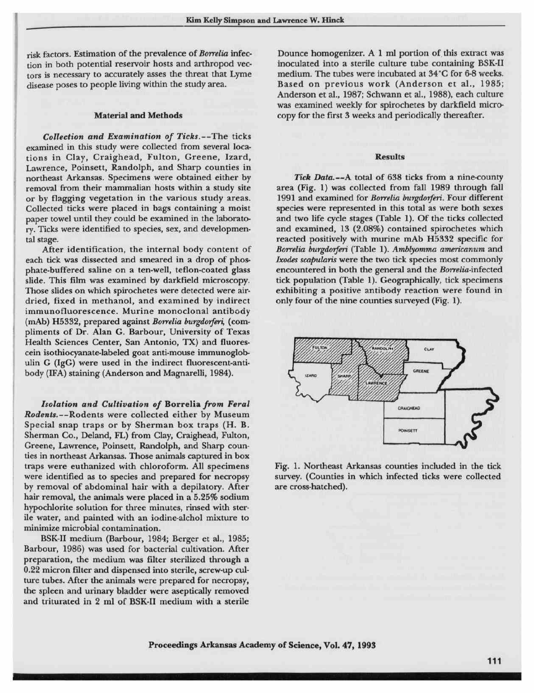risk factors. Estimation of the prevalence of Borrelia infection in both potential reservoir hosts and arthropod vectors is necessary to accurately asses the threat that Lyme disease poses to people living within the study area.

## Material and Methods

Collection and Examination of Ticks.—The ticks examined in this study were collected from several locations in Clay, Craighead, Fulton, Greene, Izard, Lawrence, Poinsett, Randolph, and Sharp counties in northeast Arkansas. Specimens were obtained either by removal from their mammalian hosts within a study site or by flagging vegetation in the various study areas. Collected ticks were placed inbags containing a moist paper towel until they could be examined in the laboratory. Ticks were identified to species, sex, and developmental stage.

After identification, the internal body content of each tick was dissected and smeared in a drop of phosphate-buffered saline on a ten-well, teflon-coated glass slide. This film was examined by darkfield microscopy. Those slides on which spirochetes were detected were airdried, fixed in methanol, and examined by indirect immunofluorescence. Murine monoclonal antibody (mAb) H5332, prepared against Borrelia burgdorferi, (compliments of Dr. Alan G. Barbour, University of Texas Health Sciences Center, San Antonio, TX) and fluorescein isothiocyanate-labeled goat anti-mouse immunoglobulin G (IgG) were used in the indirect fluorescent-antibody (IFA) staining (Anderson and Magnarelli, 1984).

Isolation and Cultivation of Borrelia from Feral Rodents. —Rodents were collected either by Museum Special snap traps or by Sherman box traps (H. B. Sherman Co., Deland, FL) from Clay, Craighead, Fulton, Greene, Lawrence, Poinsett, Randolph, and Sharp counties in northeast Arkansas. Those animals captured in box traps were euthanized with chloroform. All specimens were identified as to species and prepared for necropsy by removal of abdominal hair with a depilatory. After hair removal, the animals were placed in a 5.25% sodium hypochlorite solution for three minutes, rinsed with sterile water, and painted with an iodine-alchol mixture to minimize microbial contamination.

BSK-II medium (Barbour, 1984; Berger et al., 1985; Barbo<br>prepa<br>0.22 i<br>ture t<br>the sp<br>and t Barbour, 1986) was used for bacterial cultivation. After reparation, the medium was filter sterilized through a 22 micron filter and dispensed into sterile, screw-up culture tubes. After the animals were prepared for necropsy, the spleen and urinary bladder were aseptically removed and triturated in 2 ml of BSK-II medium with a sterile

Dounce homogenizer. A 1 ml portion of this extract was inoculated into a sterile culture tube containing BSK-II medium. The tubes were incubated at 34°C for 6-8 weeks. Based on previous work (Anderson et al., 1985; Anderson et al., 1987; Schwann et al., 1988), each culture was examined weekly for spirochetes by darkfield microcopy for the first 3 weeks and periodically thereafter.

#### Results

Tick Data.---A total of 638 ticks from a nine-county area (Fig. 1) was collected from fall 1989 through fall 1991 and examined for Borrelia burgdorferi. Four different species were represented in this total as were both sexes and two life cycle stages (Table 1). Of the ticks collected and examined, 13 (2.08%) contained spirochetes which reacted positively with murine mAb H5332 specific for Borrelia burgdorferi (Table 1). Amblyomma americanum and Ixodes scapularis were the two tick species most commonly encountered inboth the general and the Borrelia-infected tick population (Table 1). Geographically, tick specimens exhibiting a positive antibody reaction were found in only four of the nine counties surveyed (Fig. 1).



Fig. 1. Northeast Arkansas counties included in the tick survey. (Counties in which infected ticks were collected are cross-hatched).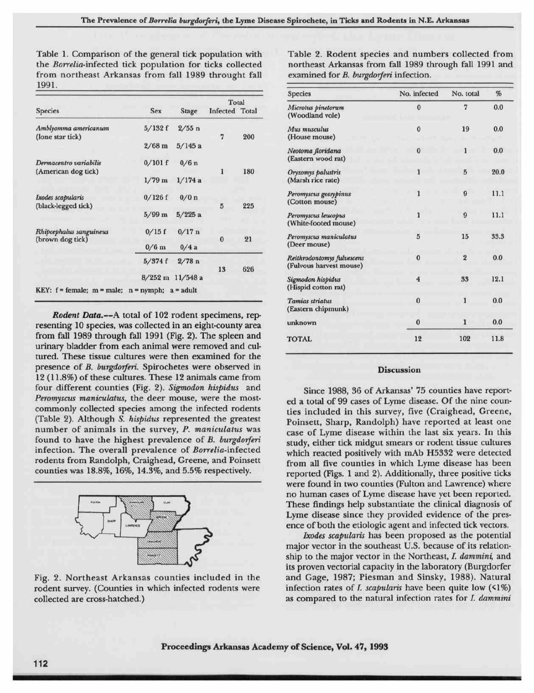Table 1. Comparison of the general tick population with the Borrelia-infected tick population for ticks collected from northeast Arkansas from fall 1989 throught fall 1991.

|                                                                                                   |           |                      |                         |     | Species                                               | No. intected | No. total               | $\gamma_0$ |
|---------------------------------------------------------------------------------------------------|-----------|----------------------|-------------------------|-----|-------------------------------------------------------|--------------|-------------------------|------------|
| <b>Species</b>                                                                                    | Sex       | Stage                | Total<br>Infected Total |     | Microtus pinetorum<br>(Woodland vole)                 | 0            | 7                       | 0.0        |
| Amblyomma americanum<br>(lone star tick)                                                          | 5/132f    | $2/55$ n             | 7                       | 200 | Mus musculus<br>(House mouse)                         | $\bf{0}$     | 19                      | 0.0        |
|                                                                                                   | $2/68$ m  | $5/145$ a            |                         |     | Neotoma floridana                                     | $\bf{0}$     |                         | 0.0        |
| Dermacentro variabilis<br>(American dog tick)                                                     | $0/101$ f | $0/6$ n              |                         | 180 | (Eastern wood rat)<br>Oryzomys palustris              |              | $\overline{5}$          | 20.0       |
|                                                                                                   | $1/79$ m  | 1/174a               |                         |     | (Marsh rice rate)                                     |              |                         |            |
| Ixodes scapularis<br>(black-legged tick)                                                          | $0/126$ f | 0/0 n                | 5                       | 225 | Peromyscus gossypinus<br>(Cotton mouse)               |              | 9                       | 11.1       |
|                                                                                                   | $5/99$ m  | 5/225a               |                         |     | Peromyscus leucopus<br>(White-footed mouse)           |              | 9                       | 11.1       |
| Rhipcephalus sanguineus<br>(brown dog tick)<br>KEY: $f = female$ ; m = male; n = nymph; a = adult | 0/15f     | $0/17$ n             | $\bf{0}$                | 21  | Peromyscus maniculatus                                | 5            | 15                      | 33.3       |
|                                                                                                   | $0/6$ m   | 0/4a                 |                         |     | (Deer mouse)                                          |              |                         |            |
|                                                                                                   | 5/374f    | 2/78n                | 13                      | 626 | Reithrodontomys fulvescens<br>(Fulvous harvest mouse) | $\bf{0}$     | $\overline{\mathbf{2}}$ | $0.0\,$    |
|                                                                                                   |           | $8/252$ m $11/548$ a |                         |     | Sigmodon hispidus<br>(Hispid cotton rat)              | 4            | 33                      | 12.1       |
|                                                                                                   |           |                      |                         |     |                                                       |              |                         |            |

Rodent Data.—<sup>A</sup> total of <sup>102</sup> rodent specimens, representing 10 species, was collected in an eight-county area from fall 1989 through fall 1991 (Fig. 2). The spleen and urinary bladder from each animal were removed and cultured. These tissue cultures were then examined for the presence of B. burgdorferi. Spirochetes were observed in 12 (11.8%) of these cultures. These 12 animals came from four different counties (Fig. 2). Sigmodon hispidus and Peromyscus maniculatus, the deer mouse, were the mostcommonly collected species among the infected rodents (Table 2). Although 5. hispidus represented the greatest number of animals in the survey, P. maniculatus was found to have the highest prevalence of B. burgdorferi infection. The overall prevalence of Borrelia-infected rodents from Randolph, Craighead, Greene, and Poinsett counties was 18.8%, 16%, 14.3%, and 5.5% respectively.



Fig. 2. Northeast Arkansas counties included in the rodent survey. (Counties in which infected rodents were collected are cross-hatched.)

Table 2. Rodent species and numbers collected from northeast Arkansas from fall 1989 through fall 1991 and examined for *B. burgdorferi* infection.

|                  |                                                               |                         |     | Species                                               | No. infected        | No. total      | %    |
|------------------|---------------------------------------------------------------|-------------------------|-----|-------------------------------------------------------|---------------------|----------------|------|
| <b>Sex</b>       | Stage                                                         | Total<br>Infected Total |     | Microtus pinetorum<br>(Woodland vole)                 | $\bf{0}$            | 7              | 0.0  |
| 5/132f           | $2/55$ n                                                      | 7                       | 200 | Mus musculus<br>(House mouse)                         | $\bf{0}$            | 19             | 0.0  |
| $2/68$ m         | $5/145$ a                                                     |                         |     | Neotoma floridana                                     | $\mathbf{0}$        | $\mathbf{1}$   | 0.0  |
| $0/101$ f        | 0/6n                                                          | 1                       | 180 | (Eastern wood rat)                                    |                     | $\overline{5}$ |      |
| $1/79$ m         | 1/174a                                                        |                         |     | Oryzomys palustris<br>(Marsh rice rate)               |                     |                | 20.0 |
| 0/126f           | 0/0 n                                                         | 5                       | 225 | Peromyscus gossypinus<br>(Cotton mouse)               |                     | 9              | 11.1 |
| $5/99$ m         | 5/225a                                                        |                         |     | Peromyscus leucopus<br>(White-footed mouse)           |                     | $\overline{9}$ | 11.1 |
| 0/15f<br>$0/6$ m | $0/17$ n<br>0/4a                                              | $\bf{0}$                | 21  | Peromyscus maniculatus<br>(Deer mouse)                | 5                   | 15             | 33.3 |
| 5/374f           | 2/78n                                                         | 13                      | 626 | Reithrodontomys fulvescens<br>(Fulvous harvest mouse) | $\bf{0}$            | $\overline{2}$ | 0.0  |
|                  | $3/252$ m $11/548$ a<br>$symbol; a = addult$                  |                         |     | Sigmodon hispidus<br>(Hispid cotton rat)              | $\overline{\bf{4}}$ | 33             | 12.1 |
|                  | of 102 rodent specimens, rep-                                 |                         |     | <b>Tamias striatus</b><br>(Eastern chipmunk)          | $\bf{0}$            | 1              | 0.0  |
|                  | llected in an eight-county area                               |                         |     | unknown                                               | $\bf{0}$            | 1              | 0.0  |
|                  | 1991 (Fig. 2). The spleen and<br>animal were removed and cul- |                         |     | <b>TOTAL</b>                                          | 12                  | 102            | 11.8 |

### **Discussion**

Since 1988, 36 of Arkansas' 75 counties have reported a total of 99 cases of Lyme disease. Of the nine counties included in this survey, five (Craighead, Greene, Poinsett, Sharp, Randolph) have reported at least one case of Lyme disease within the last six years. In this study, either tick midgut smears or rodent tissue cultures which reacted positively with mAb H5332 were detected from all five counties in which Lyme disease has been reported (Figs. 1and 2). Additionally, three positive ticks were found in two counties (Fulton and Lawrence) where no human cases of Lyme disease have yet been reported. These findings help substantiate the clinical diagnosis of Lyme disease since they provided evidence of the presence of both the etiologic agent and infected tick vectors.

Ixodes scapularis has been proposed as the potential major vector in the southeast U.S. because of its relationship to the major vector in the Northeast, I. dammini, and its proven vectorial capacity in the laboratory (Burgdorfer and Gage, 1987; Piesman and Sinsky, 1988). Natural infection rates of *I. scapularis* have been quite low  $(1\%)$ as compared to the natural infection rates for *I. dammini*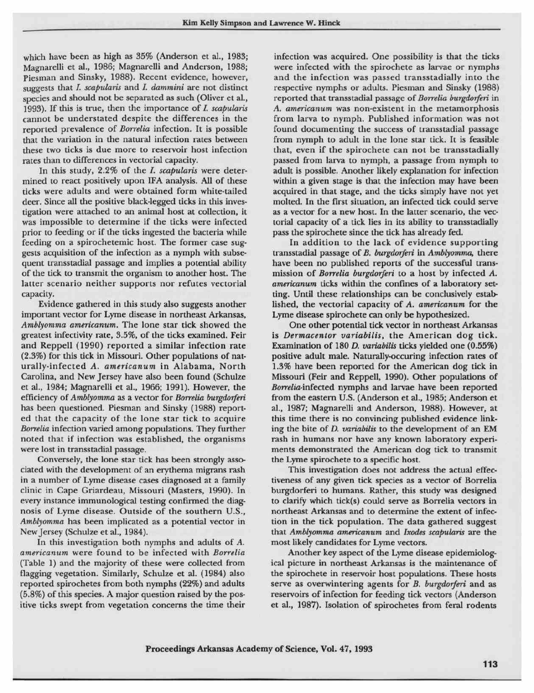which have been as high as 35% (Anderson et al., 1983; Magnarelli et al., 1986; Magnarelli and Anderson, 1988; Piesman and Sinsky, 1988). Recent evidence, however, suggests that *I. scapularis* and *I. dammini* are not distinct species and should not be separated as such (Oliver et al., 1993). If this is true, then the importance of *I. scapularis* cannot be understated despite the differences in the reported prevalence of Borrelia infection. It is possible that the variation in the natural infection rates between these two ticks is due more to reservoir host infection rates than to differences in vectorial capacity.<br>In this study, 2.2% of the *I. scapularis* were deter-

In this study,  $2.2\%$  of the *I. scapularis* were deter-mined to react positively upon IFA analysis. All of these ticks were adults and were obtained form white-tailed deer. Since all the positive black-legged ticks in t ned to react positively upon IFA analysis. Allof these ticks were adults and were obtained form white-tailed deer. Since all the positive black-legged ticks in this investigation were attached to an animal host at collection, it was impossible to determine if the ticks were infected prior to feeding or if the ticks ingested the bacteria while feeding on a spirochetemic host. The former case suggests acquisition of the infection as a nymph with subsequent transstadial passage and implies a potential ability<br>of the tick to transmit the organism to another host. The of the tick to transmit the organism to another host. The latter scenario neither supports nor refutes vectorial capacity.

Evidence gathered in this study also suggests another important vector for Lyme disease in northeast Arkansas, Amblyomma americanum. The lone star tick showed the greatest infectivity rate, 3.5%, of the ticks examined. Feir and Reppell (1990) reported a similar infection rate  $(2.3%)$  for this tick in Missouri. Other populations of naturally-infected A. americanum in Alabama, North Carolina, and New Jersey have also been found (Schulze et al., 1984; Magnarelli et al., 1966; 1991). However, the et al., 1984; Magnarelli et al., 1966; 1991). However, the efficiency of *Amblyomma* as a vector for *Borrelia burgdorferi* has been questioned. Piesman and Sinsky (1988) reported that the capacity of the lone star tick to efficiency of Amblyomma as a vector for Borrelia burgdorferi <sup>&</sup>gt; been questioned. Piesman and Sinsky (1988) reported that the capacity of the lone star tick to acquire Borrelia infection varied among populations. They further noted that if infection was established, the organisms were lost in transstadial passage.

were los<br>Con<br>ciated w<br>m a nun<br>clinic in<br>every im<br>nosis o<br>Amblyon<br>New Jer<br>In<br>america<br>america Conversely, the lone star tick has been strongly associated with the development of an erythema migrans rash a number of Lyme disease cases diagnosed at a family clinic in Cape Griardeau, Missouri (Masters, 1990). In every instance immunological testing confirmed the diagnosis of Lyme disease. Outside of the southern U.S., Amblyomma has been implicated as a potential vector in New Jersey (Schulze et al., 1984).

In this investigation both nymphs and adults of A. americanum were found to be infected with Borrelia (Table 1) and the majority of these were collected from flagging vegetation. Similarly, Schulze et al. (1984) also reported spirochetes from both nymphs (22%) and adults (5.8%) of this species. Amajor question raised by the positive ticks swept from vegetation concerns the time their

infection was acquired. One possibility is that the ticks were infected with the spirochete as larvae or nymphs and the infection was passed transstadially into the respective nymphs or adults. Piesman and Sinsky (1988) reported that transstadial passage of Borrelia burgdorferi in A. americanum was non-existent in the metamorphosis from larva to nymph. Published information was not found documenting the success of transstadial passage from nymph to adult in the lone star tick. It is feasible that, even if the spirochete can not be transstadially passed from larva to nymph, a passage from nymph to adult is possible. Another likely explanation for infection within a given stage is that the infection may have been acquired in that stage, and the ticks simply have not yet molted. In the first situation, an infected tick could serve as a vector for a new host. In the latter scenario, the vectorial capacity of a tick lies in its ability to transstadially pass the spirochete since the tick has already fed.

In addition to the lack of evidence supporting transstadial passage of B. burgdorferi in Amblyomma, there have been no published reports of the successful transmission of Borrelia burgdorferi to a host by infected A. americanum ticks within the confines of a laboratory setting. Until these relationships can be conclusively established, the vectorial capacity of A. americanum for the Lyme disease spirochete can only be hypothesized.

One other potential tick vector in northeast Arkansas is Dermacentor variabilis, the American dog tick. Examination of 180 D. variabilis ticks yielded one (0.55%) positive adult male. Naturally-occuring infection rates of 1.3% have been reported for the American dog tick in Missouri (Feir and Reppell, 1990). Other populations of Borrelia-infected nymphs and larvae have been reported from the eastern U.S. (Anderson et al., 1985; Anderson et al., 1987; Magnarelli and Anderson, 1988). However, at this time there is no convincing published evidence linking the bite of *D. variabilis* to the development of an EM rash in humans nor have any known laboratory experiments demonstrated the American dog tick to transmit the Lyme spirochete to a specific host.

This investigation does not address the actual effectiveness of any given tick species as a vector of Borrelia burgdorferi to humans. Rather, this study was designed to clarify which tick(s) could serve as Borrelia vectors in northeast Arkansas and to determine the extent of infection in the tick population. The data gathered suggest that Amblyomma americanum and Ixodes scapularis are the most likely candidates for Lyme vectors.

Another key aspect of the Lyme disease epidemiological picture in northeast Arkansas is the maintenance of the spirochete in reservoir host populations. These hosts serve as overwintering agents for B. burgdorferi and as reservoirs of infection for feeding tick vectors (Anderson et al., 1987). Isolation of spirochetes from feral rodents